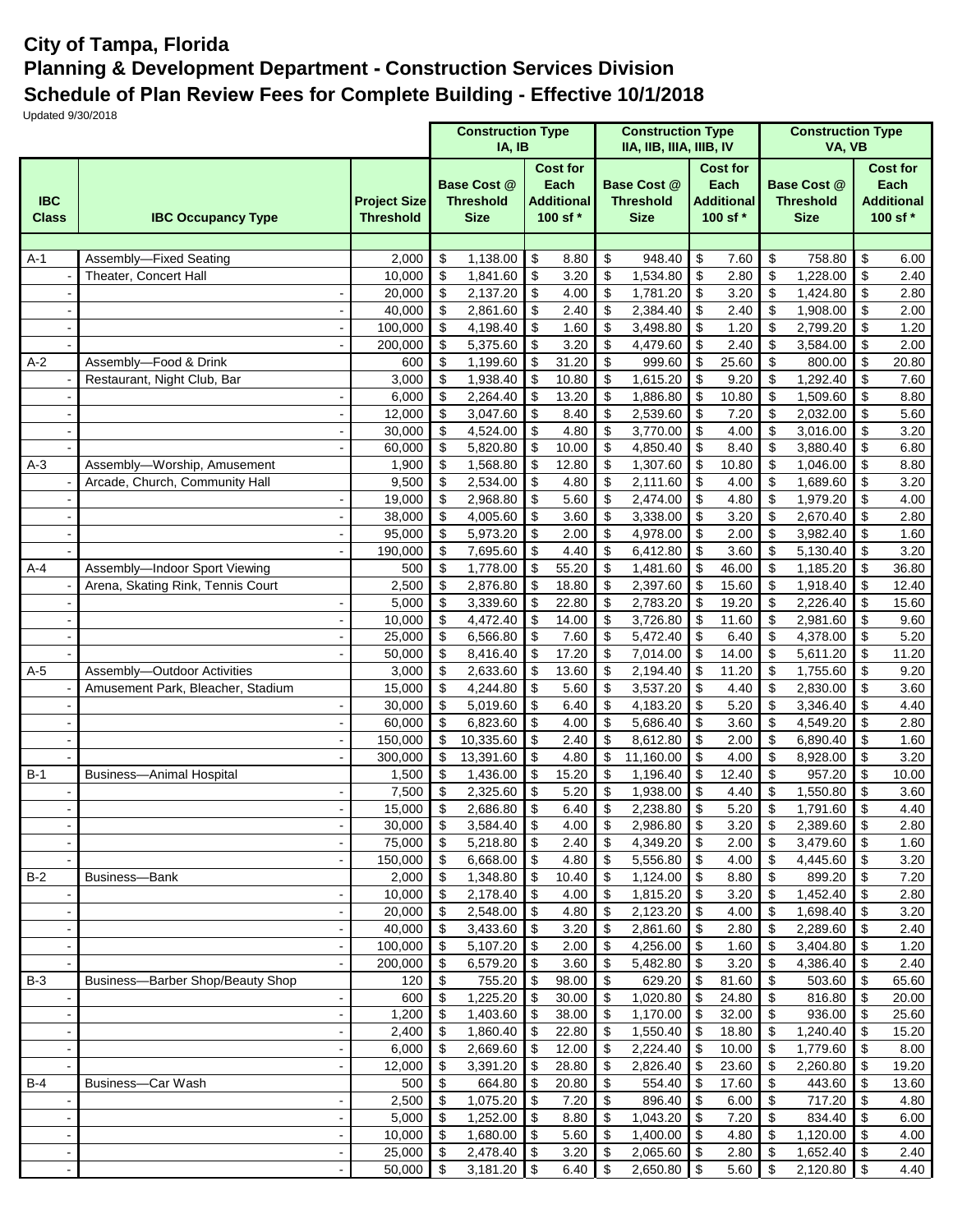## **City of Tampa, Florida Planning & Development Department - Construction Services Division Schedule of Plan Review Fees for Complete Building - Effective 10/1/2018**

Updated 9/30/2018

|                            |                                   |                                         |                           | <b>Construction Type</b><br>IA, IB                    |            |                                                          |                                | <b>Construction Type</b><br>IIA, IIB, IIIA, IIIB, IV  |                           |                                                          |                               | <b>Construction Type</b>                       |            |                                                          |
|----------------------------|-----------------------------------|-----------------------------------------|---------------------------|-------------------------------------------------------|------------|----------------------------------------------------------|--------------------------------|-------------------------------------------------------|---------------------------|----------------------------------------------------------|-------------------------------|------------------------------------------------|------------|----------------------------------------------------------|
| <b>IBC</b><br><b>Class</b> | <b>IBC Occupancy Type</b>         | <b>Project Size</b><br><b>Threshold</b> |                           | <b>Base Cost @</b><br><b>Threshold</b><br><b>Size</b> |            | <b>Cost for</b><br>Each<br><b>Additional</b><br>100 sf * |                                | <b>Base Cost @</b><br><b>Threshold</b><br><b>Size</b> |                           | <b>Cost for</b><br>Each<br><b>Additional</b><br>100 sf * |                               | Base Cost @<br><b>Threshold</b><br><b>Size</b> |            | <b>Cost for</b><br>Each<br><b>Additional</b><br>100 sf * |
|                            |                                   |                                         |                           |                                                       |            |                                                          |                                |                                                       |                           |                                                          |                               |                                                |            |                                                          |
| $A-1$                      | Assembly-Fixed Seating            | 2,000                                   | \$                        | 1,138.00                                              | \$         | 8.80                                                     | \$                             | 948.40                                                | \$                        | 7.60                                                     | \$                            | 758.80                                         | \$         | 6.00                                                     |
|                            | Theater, Concert Hall             | 10,000                                  | $\overline{\mathbf{s}}$   | 1,841.60                                              | \$         | 3.20                                                     | \$                             | 1,534.80                                              | $\overline{\mathbf{S}}$   | 2.80                                                     | $\overline{\mathbf{S}}$       | 1,228.00                                       | \$         | $\overline{2.40}$                                        |
|                            |                                   | 20,000                                  | \$                        | 2,137.20                                              | \$         | 4.00                                                     | \$                             | 1,781.20                                              | \$                        | 3.20                                                     | \$                            | 1,424.80                                       | \$         | 2.80                                                     |
|                            |                                   | 40,000                                  | \$                        | 2,861.60                                              | \$         | 2.40                                                     | \$                             | 2,384.40                                              | \$                        | 2.40                                                     | $\mathfrak{S}$                | 1,908.00                                       | \$         | 2.00                                                     |
|                            | $\blacksquare$                    | 100,000<br>200,000                      | \$                        | 4,198.40<br>5,375.60                                  | \$         | 1.60<br>3.20                                             | \$                             | 3,498.80                                              | \$<br>\$                  | 1.20<br>2.40                                             | \$                            | 2,799.20                                       | \$         | 1.20                                                     |
| $A-2$                      | Assembly-Food & Drink             | 600                                     | \$<br>\$                  | 1,199.60                                              | \$<br>\$   | 31.20                                                    | \$<br>\$                       | 4,479.60<br>999.60                                    | \$                        | 25.60                                                    | \$<br>\$                      | 3,584.00<br>800.00                             | \$<br>\$   | 2.00<br>20.80                                            |
|                            | Restaurant, Night Club, Bar       | 3,000                                   | \$                        | 1,938.40                                              | \$         | 10.80                                                    | \$                             | 1,615.20                                              | \$                        | 9.20                                                     | \$                            | 1,292.40                                       | \$         | 7.60                                                     |
|                            |                                   | 6,000                                   | \$                        | 2,264.40                                              | \$         | 13.20                                                    | \$                             | 1,886.80                                              | \$                        | 10.80                                                    | \$                            | 1,509.60                                       | \$         | 8.80                                                     |
|                            |                                   | 12,000                                  | \$                        | 3,047.60                                              | \$         | 8.40                                                     | \$                             | 2,539.60                                              | \$                        | 7.20                                                     | $\boldsymbol{\mathsf{S}}$     | 2,032.00                                       | \$         | 5.60                                                     |
|                            | $\blacksquare$                    | 30,000                                  | \$                        | 4,524.00                                              | \$         | 4.80                                                     | \$                             | 3,770.00                                              | \$                        | 4.00                                                     | \$                            | 3,016.00                                       | \$         | 3.20                                                     |
|                            |                                   | 60,000                                  | \$                        | 5,820.80                                              | \$         | 10.00                                                    | \$                             | 4,850.40                                              | \$                        | 8.40                                                     | \$                            | 3,880.40                                       | \$         | 6.80                                                     |
| $A-3$                      | Assembly-Worship, Amusement       | 1,900                                   | \$                        | 1,568.80                                              | \$         | 12.80                                                    | \$                             | 1,307.60                                              | \$                        | 10.80                                                    | \$                            | 1,046.00                                       | \$         | 8.80                                                     |
|                            | Arcade, Church, Community Hall    | 9,500                                   | \$                        | 2,534.00                                              | \$         | 4.80                                                     | \$                             | 2,111.60                                              | $\boldsymbol{\mathsf{S}}$ | 4.00                                                     | $\boldsymbol{\mathsf{S}}$     | 1,689.60                                       | \$         | 3.20                                                     |
|                            |                                   | 19,000                                  | \$                        | 2,968.80                                              | \$         | 5.60                                                     | $\overline{\mathbf{e}}$        | 2,474.00                                              | \$                        | 4.80                                                     | $\overline{\mathbf{s}}$       | 1,979.20                                       | \$         | 4.00                                                     |
|                            |                                   | 38,000                                  | \$                        | 4,005.60                                              | \$         | 3.60                                                     | \$                             | 3,338.00                                              | \$                        | 3.20                                                     | \$                            | 2,670.40                                       | \$         | 2.80                                                     |
|                            | $\blacksquare$                    | 95,000                                  | \$                        | 5,973.20                                              | \$         | 2.00                                                     | \$                             | 4,978.00                                              | \$                        | 2.00                                                     | $\mathfrak{s}$                | 3,982.40                                       | \$         | 1.60                                                     |
|                            | $\blacksquare$                    | 190,000                                 | \$                        | 7,695.60                                              | \$         | 4.40                                                     | \$                             | 6,412.80                                              | \$                        | 3.60                                                     | \$                            | 5,130.40                                       | \$         | 3.20                                                     |
| $A-4$                      | Assembly-Indoor Sport Viewing     | 500                                     | \$<br>\$                  | 1,778.00                                              | \$<br>\$   | 55.20                                                    | \$                             | 1.481.60                                              | \$<br>\$                  | 46.00                                                    | \$<br>\$                      | 1,185.20                                       | \$         | 36.80                                                    |
|                            | Arena, Skating Rink, Tennis Court | 2,500<br>5,000                          | $\sqrt[6]{\frac{1}{2}}$   | 2,876.80<br>3,339.60                                  | \$         | 18.80<br>22.80                                           | \$<br>\$                       | 2,397.60<br>2,783.20                                  | \$                        | 15.60<br>19.20                                           | $\boldsymbol{\mathsf{S}}$     | 1,918.40<br>2,226.40                           | \$<br>\$   | 12.40<br>15.60                                           |
|                            |                                   | 10,000                                  | \$                        | 4,472.40                                              | \$         | 14.00                                                    | \$                             | 3,726.80                                              | \$                        | 11.60                                                    | \$                            | 2,981.60                                       | \$         | 9.60                                                     |
|                            |                                   | 25,000                                  | \$                        | 6,566.80                                              | \$         | 7.60                                                     | \$                             | 5,472.40                                              | \$                        | 6.40                                                     | $\boldsymbol{\mathsf{S}}$     | 4,378.00                                       | \$         | 5.20                                                     |
|                            |                                   | 50,000                                  | \$                        | 8,416.40                                              | \$         | 17.20                                                    | \$                             | $\overline{7,014.00}$                                 | \$                        | 14.00                                                    | \$                            | 5,611.20                                       | \$         | 11.20                                                    |
| $A-5$                      | Assembly-Outdoor Activities       | 3,000                                   | \$                        | 2,633.60                                              | \$         | 13.60                                                    | \$                             | 2,194.40                                              | \$                        | 11.20                                                    | \$                            | 1,755.60                                       | \$         | 9.20                                                     |
|                            | Amusement Park, Bleacher, Stadium | 15,000                                  | \$                        | 4,244.80                                              | \$         | 5.60                                                     | \$                             | 3,537.20                                              | $\boldsymbol{\mathsf{S}}$ | 4.40                                                     | \$                            | 2,830.00                                       | \$         | 3.60                                                     |
|                            |                                   | 30,000                                  | \$                        | 5,019.60                                              | \$         | 6.40                                                     | \$                             | 4,183.20                                              | \$                        | 5.20                                                     | $\overline{\mathbf{s}}$       | 3,346.40                                       | \$         | 4.40                                                     |
|                            |                                   | 60,000                                  | \$                        | 6,823.60                                              | \$         | 4.00                                                     | \$                             | 5,686.40                                              | \$                        | 3.60                                                     | \$                            | 4,549.20                                       | \$         | 2.80                                                     |
|                            | $\blacksquare$                    | 150,000                                 | \$                        | 10,335.60                                             | \$         | 2.40                                                     | \$                             | 8,612.80                                              | \$                        | 2.00                                                     | \$                            | 6,890.40                                       | \$         | 1.60                                                     |
|                            | $\blacksquare$                    | 300,000                                 | $\boldsymbol{\mathsf{S}}$ | 13,391.60                                             | \$         | 4.80                                                     | \$                             | 11,160.00                                             | \$                        | 4.00                                                     | \$                            | 8,928.00                                       | \$         | 3.20                                                     |
| $B-1$                      | <b>Business-Animal Hospital</b>   | 1,500                                   | \$                        | 1,436.00                                              | \$         | 15.20                                                    | \$                             | 1,196.40                                              | \$                        | 12.40                                                    | \$                            | 957.20                                         | \$         | 10.00                                                    |
|                            |                                   | 7,500                                   | \$                        | 2,325.60                                              | \$         | 5.20                                                     | \$                             | 1,938.00                                              | \$                        | 4.40                                                     | \$                            | 1,550.80                                       | \$         | 3.60                                                     |
|                            |                                   | 15,000<br>$30,000$ \$                   | \$                        | 2,686.80<br>$3,584.40$ \$                             | \$         | 6.40<br>4.00                                             | \$<br>$\overline{\mathcal{L}}$ | 2,238.80<br>$2,986.80$ \$                             | \$                        | 5.20<br>3.20                                             | \$<br>$\overline{\mathbf{e}}$ | 1,791.60<br>$2,389.60$ \$                      | \$         | 4.40<br>2.80                                             |
|                            |                                   | 75,000                                  | $\sqrt{3}$                | 5,218.80 \$                                           |            | 2.40                                                     | \$                             | 4,349.20 \$                                           |                           | 2.00                                                     | \$                            | 3,479.60                                       | <b>S</b>   | 1.60                                                     |
|                            |                                   | 150,000                                 | - \$                      | $6,668.00$ \$                                         |            | 4.80                                                     | \$                             | $5,556.80$ \$                                         |                           | 4.00                                                     | -\$                           | 4,445.60                                       | -\$        | 3.20                                                     |
| $B-2$                      | Business-Bank                     | 2,000                                   | $\sqrt[6]{3}$             | 1,348.80                                              | $\sqrt{3}$ | 10.40                                                    | $\sqrt[6]{3}$                  | $1,124.00$ \$                                         |                           | 8.80                                                     | \$                            | 899.20                                         | \$         | 7.20                                                     |
|                            | $\blacksquare$                    | 10,000                                  | $\mathfrak{S}$            | $2,178.40$ \$                                         |            | 4.00                                                     | \$                             | 1,815.20 \$                                           |                           | 3.20                                                     | \$                            | 1,452.40                                       | <b>\$</b>  | 2.80                                                     |
|                            |                                   | 20,000                                  | \$                        | 2,548.00 \$                                           |            | 4.80                                                     | \$                             | 2,123.20 \$                                           |                           | 4.00                                                     | \$                            | 1,698.40                                       | <b>\$</b>  | 3.20                                                     |
|                            |                                   | 40,000                                  | $\boldsymbol{\mathsf{S}}$ | 3,433.60 \$                                           |            | 3.20                                                     | $\sqrt[6]{3}$                  | 2,861.60 \$                                           |                           | 2.80                                                     | \$                            | 2,289.60                                       | \$         | 2.40                                                     |
|                            |                                   | 100,000                                 | \$                        | $5,107.20$ \$                                         |            | 2.00                                                     | \$                             | 4,256.00 \$                                           |                           | 1.60                                                     | \$                            | 3,404.80                                       | $\sqrt{3}$ | 1.20                                                     |
|                            |                                   | 200,000                                 | $\boldsymbol{\mathsf{S}}$ | 6,579.20 \$                                           |            | 3.60                                                     | \$                             | $5,482.80$ \$                                         |                           | 3.20                                                     | $\sqrt[6]{3}$                 | 4,386.40                                       | \$         | 2.40                                                     |
| $B-3$                      | Business-Barber Shop/Beauty Shop  | 120                                     | $\overline{\mathbf{3}}$   | 755.20 \$                                             |            | 98.00                                                    | $\boldsymbol{\mathsf{S}}$      | 629.20                                                | \$                        | 81.60                                                    | $\sqrt{3}$                    | 503.60                                         | \$         | 65.60                                                    |
|                            |                                   | 600                                     | \$<br>$\sqrt{3}$          | 1,225.20 \$                                           |            | 30.00                                                    | \$<br>\$                       | 1,020.80 \$                                           |                           | 24.80                                                    | $\sqrt{3}$<br><b>\$</b>       | 816.80                                         | -\$        | 20.00                                                    |
|                            | $\blacksquare$<br>$\sim$          | 1,200<br>2,400                          | $\sqrt{3}$                | $1,403.60$ \$<br>1,860.40 \$                          |            | 38.00<br>22.80                                           | $\sqrt[6]{3}$                  | 1,170.00 \$<br>$1,550.40$ \$                          |                           | 32.00<br>18.80                                           | \$                            | 936.00<br>1,240.40                             | -\$<br>\$  | 25.60<br>15.20                                           |
|                            |                                   | 6,000                                   | \$                        | 2,669.60 \$                                           |            | 12.00                                                    | \$                             | $2,224.40$ \$                                         |                           | 10.00                                                    | \$                            | 1,779.60                                       | \$         | 8.00                                                     |
|                            |                                   | 12,000                                  | $\boldsymbol{\mathsf{S}}$ | $3,391.20$ \$                                         |            | 28.80                                                    | \$                             | $2,826.40$ \$                                         |                           | 23.60                                                    | \$                            | 2,260.80                                       | \$         | 19.20                                                    |
| $B-4$                      | Business-Car Wash                 | 500                                     | $\overline{\mathbf{3}}$   | 664.80                                                | $\sqrt{3}$ | 20.80                                                    | \$                             |                                                       |                           | 17.60                                                    | \$                            | 443.60                                         | \$         | 13.60                                                    |
|                            | $\blacksquare$                    | 2,500                                   | $\sqrt{3}$                | $1,075.20$ \$                                         |            | 7.20                                                     | \$                             | $896.40$ \$                                           |                           | 6.00                                                     | \$                            | 717.20                                         | \$         | 4.80                                                     |
|                            | $\blacksquare$                    | 5,000                                   | $\sqrt{3}$                | $1,252.00$ \$                                         |            | 8.80                                                     | \$                             | $1,043.20$ \$                                         |                           | 7.20                                                     | $\sqrt{3}$                    | 834.40                                         | -\$        | 6.00                                                     |
|                            | $\blacksquare$                    | 10,000                                  | $\sqrt{3}$                | 1,680.00 \$                                           |            | 5.60                                                     | $\sqrt[6]{3}$                  | $1,400.00$ \$                                         |                           | 4.80                                                     | $\sqrt[6]{3}$                 | 1,120.00                                       | \$         | 4.00                                                     |
|                            |                                   | 25,000                                  | - \$                      | 2,478.40 \$                                           |            | 3.20                                                     | \$                             | 2,065.60 \$                                           |                           | 2.80                                                     | $\sqrt[6]{3}$                 | 1,652.40                                       | \$         | 2.40                                                     |
|                            |                                   | 50,000                                  | - \$                      | $3,181.20$ \$                                         |            | 6.40                                                     | \$                             | 2,650.80 \$                                           |                           | 5.60                                                     | <b>S</b>                      | 2,120.80                                       | -\$        | 4.40                                                     |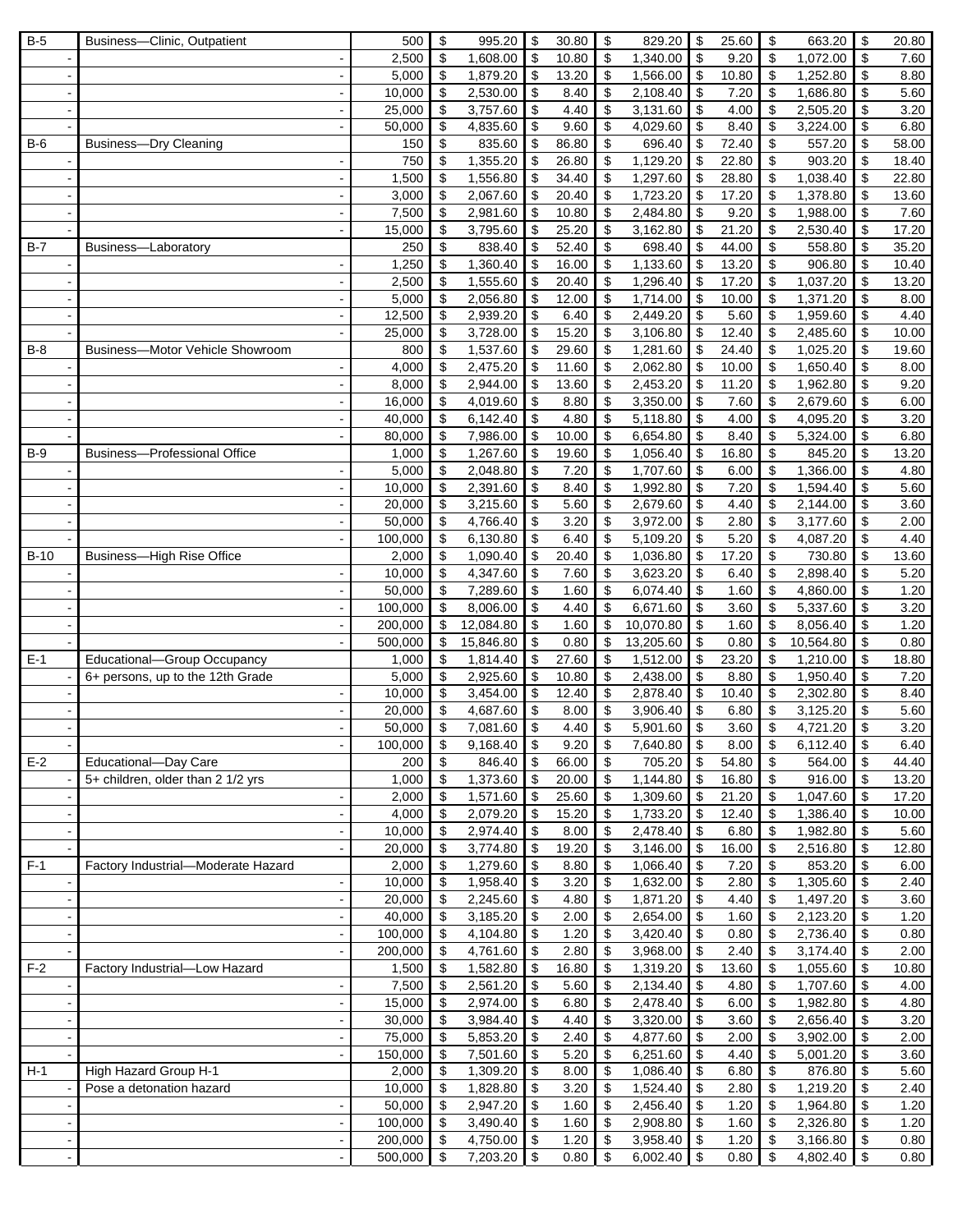| $B-5$  | Business-Clinic, Outpatient                     | 500            | \$                               | 995.20                 | \$                         | 30.80          | \$                            | 829.20                | l \$                      | 25.60          | \$                                     | 663.20               | \$           | 20.80         |
|--------|-------------------------------------------------|----------------|----------------------------------|------------------------|----------------------------|----------------|-------------------------------|-----------------------|---------------------------|----------------|----------------------------------------|----------------------|--------------|---------------|
|        |                                                 | 2,500          | $\sqrt[6]{\frac{1}{2}}$          | 1,608.00               | $\sqrt[6]{\frac{1}{2}}$    | 10.80          | \$                            | 1.340.00              | $\sqrt{3}$                | 9.20           | $\sqrt[6]{\frac{1}{2}}$                | 1,072.00             | \$           | 7.60          |
|        |                                                 | 5,000          | \$                               | 1,879.20               | \$                         | 13.20          | \$                            | 1,566.00              | $\sqrt{3}$                | 10.80          | $\boldsymbol{\mathsf{S}}$              | 1,252.80             | \$           | 8.80          |
|        |                                                 | 10,000         | \$                               | 2,530.00               | \$                         | 8.40           | \$                            | 2,108.40              | \$                        | 7.20           | $\boldsymbol{\mathsf{S}}$              | 1,686.80             | \$           | 5.60          |
|        |                                                 | 25,000         | \$                               | 3,757.60               | \$                         | 4.40           | \$                            | 3,131.60              | \$                        | 4.00           | \$                                     | 2,505.20             | \$           | 3.20          |
|        |                                                 | 50,000         | \$                               | 4,835.60               | \$                         | 9.60           | \$                            | 4,029.60              | \$                        | 8.40           | \$                                     | 3,224.00             | \$           | 6.80          |
| $B-6$  | <b>Business-Dry Cleaning</b>                    | 150            | \$                               | 835.60                 | \$                         | 86.80          | \$                            | 696.40                | \$                        | 72.40          | \$                                     | 557.20               | \$           | 58.00         |
|        |                                                 | 750            | \$                               | 1,355.20               | \$                         | 26.80          | \$                            | 1,129.20              | \$                        | 22.80          | \$                                     | 903.20               | \$           | 18.40         |
|        |                                                 | 1,500          | $\boldsymbol{\mathsf{S}}$        | 1,556.80               | \$                         | 34.40          | \$                            | 1,297.60              | \$                        | 28.80          | $\boldsymbol{\mathsf{S}}$              | 1,038.40             | \$           | 22.80         |
|        | $\blacksquare$                                  | 3,000          | \$                               | 2,067.60               | \$                         | 20.40          | \$                            | 1,723.20              | \$                        | 17.20          | \$                                     | 1,378.80             | \$           | 13.60         |
|        |                                                 | 7,500          | \$                               | 2,981.60               | \$                         | 10.80          | \$                            | 2,484.80              | \$                        | 9.20           | \$                                     | 1,988.00             | \$           | 7.60          |
|        |                                                 | 15,000         | \$                               | 3,795.60               | \$                         | 25.20          | \$                            | 3,162.80              | \$                        | 21.20          | \$                                     | 2,530.40             | \$           | 17.20         |
| $B-7$  | Business-Laboratory                             | 250            | $\overline{\boldsymbol{\theta}}$ | 838.40                 | \$                         | 52.40          | \$                            | 698.40                | \$                        | 44.00          | $\overline{\boldsymbol{\mathfrak{s}}}$ | 558.80               | \$           | 35.20         |
|        |                                                 | 1,250<br>2,500 | \$<br>\$                         | 1,360.40<br>1,555.60   | \$<br>\$                   | 16.00<br>20.40 | \$<br>\$                      | 1,133.60<br>1,296.40  | \$<br>\$                  | 13.20<br>17.20 | $\boldsymbol{\mathsf{S}}$<br>\$        | 906.80<br>1,037.20   | \$<br>\$     | 10.40         |
|        |                                                 | 5,000          | \$                               | 2,056.80               | \$                         | 12.00          | \$                            | $\overline{1,714.00}$ | $\boldsymbol{\mathsf{S}}$ | 10.00          | $\sqrt[6]{\frac{1}{2}}$                | 1,371.20             | \$           | 13.20<br>8.00 |
|        | $\blacksquare$                                  | 12,500         | \$                               | 2,939.20               | \$                         | 6.40           | \$                            | 2,449.20              | \$                        | 5.60           | \$                                     | 1,959.60             | \$           | 4.40          |
|        |                                                 | 25,000         | \$                               | 3,728.00               | \$                         | 15.20          | \$                            | 3,106.80              | \$                        | 12.40          | \$                                     | 2,485.60             | \$           | 10.00         |
| $B-8$  | Business-Motor Vehicle Showroom                 | 800            | \$                               | 1,537.60               | \$                         | 29.60          | \$                            | 1,281.60              | \$                        | 24.40          | $\boldsymbol{\mathsf{S}}$              | 1,025.20             | \$           | 19.60         |
|        |                                                 | 4,000          | \$                               | 2,475.20               | \$                         | 11.60          | \$                            | 2,062.80              | \$                        | 10.00          | \$                                     | 1,650.40             | \$           | 8.00          |
|        |                                                 | 8,000          | \$                               | 2,944.00               | \$                         | 13.60          | \$                            | 2,453.20              | \$                        | 11.20          | \$                                     | 1,962.80             | \$           | 9.20          |
|        | $\blacksquare$                                  | 16,000         | \$                               | 4,019.60               | \$                         | 8.80           | $\overline{\mathcal{S}}$      | 3,350.00              | $\boldsymbol{\mathsf{S}}$ | 7.60           | \$                                     | 2,679.60             | \$           | 6.00          |
|        |                                                 | 40,000         | \$                               | 6,142.40               | \$                         | 4.80           | \$                            | 5,118.80              | \$                        | 4.00           | \$                                     | 4,095.20             | \$           | 3.20          |
|        |                                                 | 80,000         | \$                               | 7,986.00               | \$                         | 10.00          | \$                            | 6,654.80              | $\boldsymbol{\$}$         | 8.40           | \$                                     | 5,324.00             | \$           | 6.80          |
| $B-9$  | <b>Business-Professional Office</b>             | 1,000          | \$                               | 1,267.60               | \$                         | 19.60          | \$                            | 1,056.40              | \$                        | 16.80          | \$                                     | 845.20               | \$           | 13.20         |
|        |                                                 | 5,000          | \$                               | 2,048.80               | \$                         | 7.20           | \$                            | 1,707.60              | $\boldsymbol{\mathsf{S}}$ | 6.00           | $\boldsymbol{\mathsf{S}}$              | 1,366.00             | \$           | 4.80          |
|        |                                                 | 10,000         | \$                               | 2,391.60               | \$                         | 8.40           | \$                            | 1,992.80              | $\sqrt{3}$                | 7.20           | $\boldsymbol{\mathsf{S}}$              | 1,594.40             | \$           | 5.60          |
|        |                                                 | 20,000         | \$                               | 3,215.60               | \$                         | 5.60           | $\overline{\mathcal{S}}$      | 2,679.60              | \$                        | 4.40           | \$                                     | 2,144.00             | \$           | 3.60          |
|        |                                                 | 50,000         | \$                               | 4,766.40               | \$                         | 3.20           | \$                            | 3,972.00              | $\boldsymbol{\$}$         | 2.80           | \$                                     | 3,177.60             | \$           | 2.00          |
|        |                                                 | 100,000        | \$                               | 6,130.80               | \$                         | 6.40           | \$                            | 5,109.20              | \$                        | 5.20           | \$                                     | 4,087.20             | \$           | 4.40          |
| $B-10$ | <b>Business-High Rise Office</b>                | 2,000          | \$                               | 1,090.40               | \$                         | 20.40          | \$                            | 1,036.80              | \$                        | 17.20          | \$                                     | 730.80               | \$           | 13.60         |
|        |                                                 | 10,000         | \$                               | 4,347.60               | \$                         | 7.60           | \$                            | 3,623.20              | \$                        | 6.40           | \$                                     | 2,898.40             | \$           | 5.20          |
|        |                                                 | 50,000         | \$                               | 7,289.60               | \$                         | 1.60           | $\sqrt[6]{\frac{1}{2}}$       | 6,074.40              | \$                        | 1.60           | $\boldsymbol{\mathsf{S}}$              | 4,860.00             | \$           | 1.20          |
|        |                                                 | 100,000        | $\mathfrak{s}$                   | 8,006.00               | \$                         | 4.40           | \$                            | 6,671.60              | \$                        | 3.60           | $\boldsymbol{\mathsf{S}}$              | 5,337.60             | \$           | 3.20          |
|        | $\blacksquare$                                  | 200,000        | \$                               | 12,084.80<br>15,846.80 | \$                         | 1.60           | \$                            | 10,070.80             | \$                        | 1.60           | \$                                     | 8,056.40             | \$           | 1.20          |
| $E-1$  | Educational-Group Occupancy                     | 500,000        | \$<br>\$                         |                        | \$                         | 0.80           | \$                            | 13,205.60             | \$<br>$\boldsymbol{\$}$   | 0.80<br>23.20  | \$                                     | 10,564.80            | \$           | 0.80          |
|        | 6+ persons, up to the 12th Grade                | 1,000<br>5,000 | $\boldsymbol{\mathsf{S}}$        | 1,814.40<br>2,925.60   | \$<br>\$                   | 27.60<br>10.80 | \$<br>$\overline{\mathbf{e}}$ | 1,512.00<br>2,438.00  | $\overline{\mathbf{3}}$   | 8.80           | \$<br>$\boldsymbol{\mathsf{S}}$        | 1,210.00<br>1,950.40 | \$<br>\$     | 18.80<br>7.20 |
|        |                                                 | 10,000         | \$                               | 3,454.00               | \$                         | 12.40          | \$                            | 2,878.40              | $\sqrt{3}$                | 10.40          | $\boldsymbol{\mathsf{S}}$              | 2,302.80             | \$           | 8.40          |
|        |                                                 | 20,000         | \$                               | 4,687.60               | \$                         | 8.00           | \$                            | 3,906.40              | \$                        | 6.80           | \$                                     | 3,125.20             | \$           | 5.60          |
|        |                                                 | 50.000         | $\overline{\mathbf{s}}$          | 7,081.60 \$            |                            | 4.40           | $\overline{\mathcal{S}}$      | $5,901.60$ \$         |                           | 3.60           | $\overline{\mathbf{s}}$                | 4,721.20             | $\mathbb{S}$ | 3.20          |
|        |                                                 | 100,000        | \$                               | 9,168.40               | $\sqrt[6]{\frac{1}{2}}$    | 9.20           | \$                            | 7,640.80              | $\sqrt{3}$                | 8.00           | \$                                     | 6,112.40             | \$           | 6.40          |
| $E-2$  | Educational-Day Care                            | 200            | $\boldsymbol{\mathsf{S}}$        | 846.40                 | $\sqrt{3}$                 | 66.00          | \$                            | 705.20                | $\sqrt{ }$                | 54.80          | \$                                     | 564.00               | \$           | 44.40         |
|        | 5+ children, older than 2 1/2 yrs               | 1,000          | $\boldsymbol{\mathsf{S}}$        | 1,373.60               | $\boldsymbol{\mathsf{S}}$  | 20.00          | \$                            | 1,144.80              | $\sqrt{3}$                | 16.80          | $\overline{\mathbf{3}}$                | 916.00               | \$           | 13.20         |
|        |                                                 | 2,000          | \$                               | 1,571.60               | $\boldsymbol{\mathsf{\$}}$ | 25.60          | \$                            | 1,309.60              | l \$                      | 21.20          | \$                                     | 1,047.60             | \$           | 17.20         |
|        |                                                 | 4,000          | $\boldsymbol{\mathsf{S}}$        | 2,079.20               | \$                         | 15.20          | \$                            | 1,733.20              | $\sqrt{3}$                | 12.40          | \$                                     | 1,386.40             | \$           | 10.00         |
|        | $\blacksquare$                                  | 10,000         | $\sqrt[6]{3}$                    | 2,974.40               | \$                         | 8.00           | \$                            | 2,478.40              | $\bullet$                 | 6.80           | \$                                     | 1,982.80             | \$           | 5.60          |
|        |                                                 | 20,000         | \$                               | 3,774.80               | $\boldsymbol{\mathsf{S}}$  | 19.20          | \$                            | 3,146.00              | l \$                      | 16.00          | \$                                     | 2,516.80             | \$           | 12.80         |
| $F-1$  | Factory Industrial-Moderate Hazard              | 2,000          | \$                               | 1,279.60               | $\sqrt{3}$                 | 8.80           | \$                            | 1,066.40              | $\sqrt{3}$                | 7.20           | \$                                     | 853.20               | \$           | 6.00          |
|        | $\blacksquare$                                  | 10,000         | $\sqrt[6]{3}$                    | 1,958.40               | \$                         | 3.20           | \$                            | 1,632.00              | $\sqrt{3}$                | 2.80           | \$                                     | 1,305.60             | \$           | 2.40          |
|        |                                                 | 20,000         | \$                               | 2,245.60               | \$                         | 4.80           | \$                            | 1,871.20              | $\sqrt{3}$                | 4.40           | \$                                     | 1,497.20             | \$           | 3.60          |
|        |                                                 | 40,000         | $\sqrt[6]{3}$                    | 3,185.20               | $\sqrt[6]{3}$              | 2.00           | $\boldsymbol{\mathsf{S}}$     | 2,654.00              | $\sqrt{3}$                | 1.60           | \$                                     | 2,123.20             | \$           | 1.20          |
|        | $\sim$                                          | 100,000        | $\sqrt[6]{3}$                    | 4,104.80               | \$                         | 1.20           | $\sqrt[6]{\frac{1}{2}}$       | 3,420.40              | $\sqrt{3}$                | 0.80           | \$                                     | 2,736.40             | \$           | 0.80          |
|        | $\blacksquare$                                  | 200,000        | \$                               | 4,761.60               | \$                         | 2.80           | \$                            | 3,968.00 \$           |                           | 2.40           | \$                                     | 3,174.40             | \$           | 2.00          |
| $F-2$  | Factory Industrial-Low Hazard<br>$\blacksquare$ | 1,500<br>7,500 | $\boldsymbol{\mathsf{S}}$<br>\$  | 1,582.80<br>2,561.20   | $\sqrt{3}$<br>\$           | 16.80<br>5.60  | \$<br>\$                      | 1,319.20<br>2,134.40  | l \$<br>$\sqrt{3}$        | 13.60<br>4.80  | \$<br>\$                               | 1,055.60<br>1,707.60 | \$           | 10.80<br>4.00 |
|        |                                                 | 15,000         |                                  |                        |                            |                |                               |                       |                           |                |                                        |                      | \$           |               |
|        | $\blacksquare$                                  | 30,000         | \$<br>$\sqrt[6]{3}$              | 2,974.00<br>3,984.40   | \$<br>\$                   | 6.80<br>4.40   | \$<br>\$                      | 2,478.40<br>3,320.00  | \$<br><b>S</b>            | 6.00<br>3.60   | \$<br>\$                               | 1,982.80<br>2,656.40 | \$<br>\$     | 4.80<br>3.20  |
|        |                                                 | 75,000         | $\sqrt[6]{3}$                    | 5,853.20               | \$                         | 2.40           | \$                            | 4,877.60              | $\boldsymbol{\$}$         | 2.00           | \$                                     | 3,902.00             | \$           | 2.00          |
|        | $\blacksquare$                                  | 150,000        | \$                               | 7,501.60               | \$                         | 5.20           | \$                            | 6,251.60              | $\bullet$                 | 4.40           | \$                                     | 5,001.20             | \$           | 3.60          |
| $H-1$  | High Hazard Group H-1                           | 2,000          | \$                               | 1,309.20               | \$                         | 8.00           | \$                            | 1,086.40              | $\sqrt{3}$                | 6.80           | \$                                     | 876.80               | \$           | 5.60          |
|        | Pose a detonation hazard                        | 10,000         | \$                               | 1,828.80               | \$                         | 3.20           | \$                            | 1,524.40              | l \$                      | 2.80           | \$                                     | 1,219.20             | \$           | 2.40          |
|        |                                                 | 50,000         | \$                               | 2,947.20               | \$                         | 1.60           | \$                            | 2,456.40              | $\bullet$                 | 1.20           | \$                                     | 1,964.80             | \$           | 1.20          |
|        |                                                 |                |                                  |                        |                            |                |                               |                       |                           |                |                                        |                      |              |               |
|        |                                                 | 100,000        | $\sqrt[6]{3}$                    | 3,490.40               | \$                         | 1.60           | \$                            | 2,908.80              | l \$                      | 1.60           | \$                                     | 2,326.80             | \$           | 1.20          |
|        | $\blacksquare$                                  | 200,000        | - \$                             | 4,750.00               | <b>S</b>                   | 1.20           | \$                            | 3,958.40 \$           |                           | 1.20           | -\$                                    | 3,166.80             | \$           | 0.80          |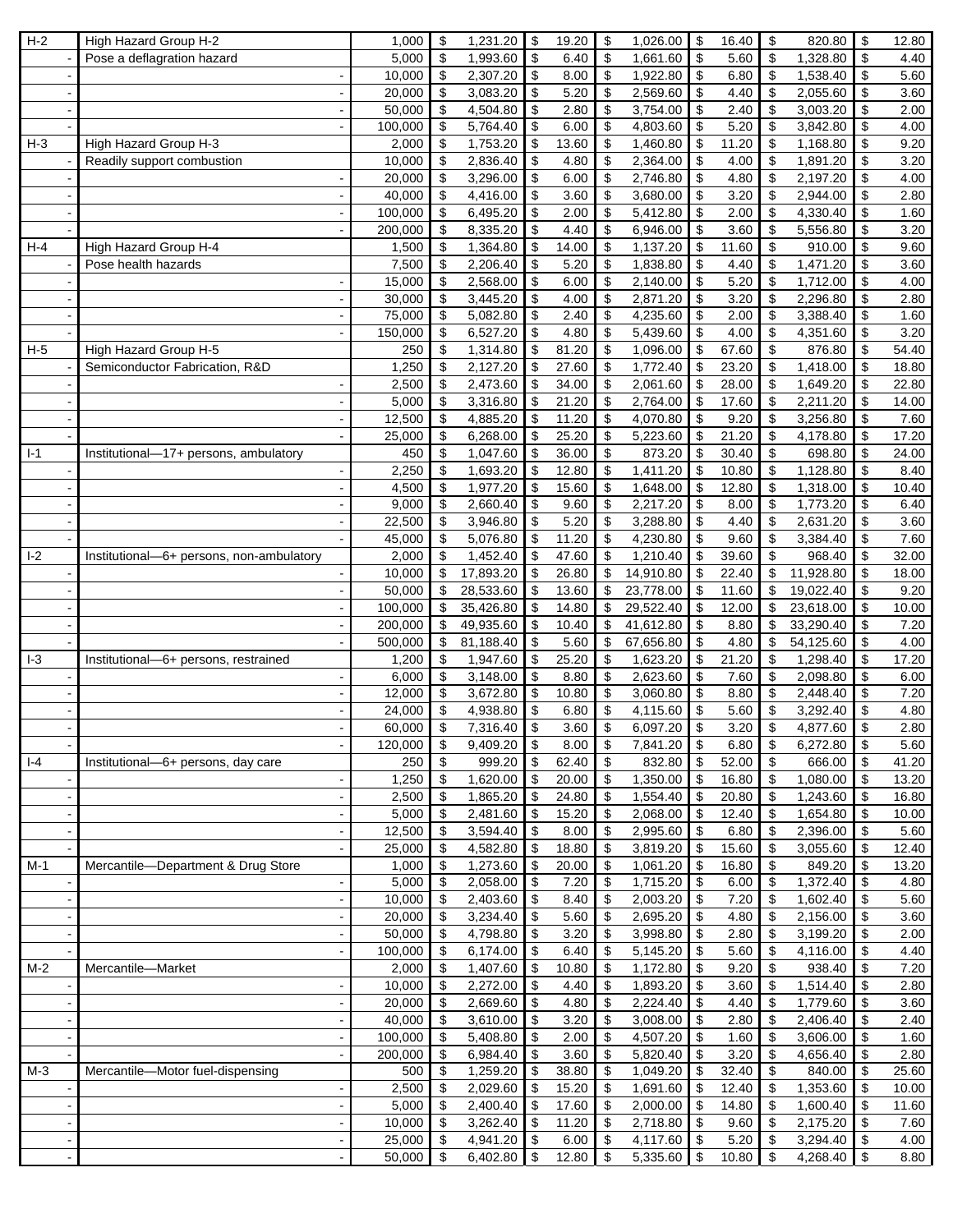| $H-2$          | High Hazard Group H-2                    | 1,000            | \$                        | 1,231.20             | \$                        | 19.20         | \$                        | 1,026.00                | \$                         | 16.40         | \$                         | 820.80               | \$<br>12.80        |
|----------------|------------------------------------------|------------------|---------------------------|----------------------|---------------------------|---------------|---------------------------|-------------------------|----------------------------|---------------|----------------------------|----------------------|--------------------|
|                | Pose a deflagration hazard               | 5,000            | \$                        | 1,993.60             | \$                        | 6.40          | \$                        | 1,661.60                | $\boldsymbol{\mathsf{S}}$  | 5.60          | \$                         | 1,328.80             | \$<br>4.40         |
|                |                                          | 10,000           | \$                        | 2,307.20             | \$                        | 8.00          | \$                        | 1,922.80                | \$                         | 6.80          | \$                         | 1,538.40             | \$<br>5.60         |
|                |                                          | 20,000           | \$                        | 3,083.20             | \$                        | 5.20          | \$                        | 2,569.60                | \$                         | 4.40          | \$                         | 2,055.60             | \$<br>3.60         |
|                |                                          | 50,000           | \$                        | 4,504.80             | \$                        | 2.80          | \$                        | 3,754.00                | \$                         | 2.40          | \$                         | 3,003.20             | \$<br>2.00         |
|                |                                          | 100,000          | \$                        | 5,764.40             | \$                        | 6.00          | \$                        | 4,803.60                | \$                         | 5.20          | \$                         | 3,842.80             | \$<br>4.00         |
| $H-3$          | High Hazard Group H-3                    | 2,000            | $\boldsymbol{\mathsf{S}}$ | 1,753.20             | \$                        | 13.60         | \$                        | 1,460.80                | $\boldsymbol{\mathsf{S}}$  | 11.20         | \$                         | 1,168.80             | \$<br>9.20         |
|                | Readily support combustion               | 10,000           | \$                        | 2,836.40             | \$                        | 4.80          | \$                        | 2,364.00                | \$                         | 4.00          | $\sqrt[6]{\frac{1}{2}}$    | 1,891.20             | \$<br>3.20         |
|                |                                          | 20,000           | \$                        | 3,296.00             | \$                        | 6.00          | $\mathfrak{S}$            | 2,746.80                | \$                         | 4.80          | \$                         | 2,197.20             | \$<br>4.00         |
|                |                                          | 40,000           | \$                        | 4,416.00             | \$                        | 3.60          | \$                        | 3,680.00                | \$                         | 3.20          | \$                         | 2,944.00             | \$<br>2.80         |
|                |                                          | 100,000          | \$                        | 6,495.20             | \$                        | 2.00          | \$                        | 5,412.80                | \$                         | 2.00          | \$                         | 4,330.40             | \$<br>1.60         |
|                |                                          | 200,000          | $\boldsymbol{\mathsf{S}}$ | 8,335.20             | \$                        | 4.40          | \$                        | 6,946.00                | \$                         | 3.60          | \$                         | 5,556.80             | \$<br>3.20         |
| $H-4$          | High Hazard Group H-4                    | 1,500            | \$                        | 1,364.80             | \$                        | 14.00         | \$                        | 1,137.20                | \$                         | 11.60         | $\boldsymbol{\mathsf{S}}$  | 910.00               | \$<br>9.60         |
|                | Pose health hazards                      | 7,500            | \$                        | 2,206.40             | \$                        | 5.20          | \$                        | 1,838.80                | $\boldsymbol{\mathsf{S}}$  | 4.40          | $\sqrt[6]{\frac{1}{2}}$    | 1,471.20             | \$<br>3.60         |
|                |                                          | 15,000           | \$                        | 2,568.00             | \$                        | 6.00          | \$                        | 2,140.00                | \$                         | 5.20          | \$                         | 1,712.00             | \$<br>4.00         |
|                |                                          | 30,000           | \$                        | 3,445.20             | \$                        | 4.00          | \$                        | 2,871.20                | \$                         | 3.20          | \$                         | 2,296.80             | \$<br>2.80         |
|                |                                          | 75,000           | \$                        | 5,082.80             | \$                        | 2.40          | \$                        | 4,235.60                | \$                         | 2.00          | \$                         | 3,388.40             | \$<br>1.60         |
|                |                                          | 150,000          | \$                        | 6,527.20             | \$                        | 4.80          | \$                        | 5,439.60                | \$                         | 4.00          | \$                         | 4,351.60             | \$<br>3.20         |
| $H-5$          | High Hazard Group H-5                    | 250              | \$                        | 1,314.80             | \$                        | 81.20         | \$                        | 1,096.00                | \$                         | 67.60         | \$                         | 876.80               | \$<br>54.40        |
|                | Semiconductor Fabrication, R&D           | 1,250            | $\boldsymbol{\mathsf{S}}$ | 2,127.20             | \$                        | 27.60         | \$                        | 1,772.40                | \$                         | 23.20         | \$                         | 1,418.00             | \$<br>18.80        |
|                |                                          | 2,500            | $\sqrt[6]{\frac{1}{2}}$   | 2,473.60             | \$                        | 34.00         | \$                        | 2,061.60                | \$                         | 28.00         | $\boldsymbol{\mathsf{S}}$  | 1,649.20             | \$<br>22.80        |
|                | $\blacksquare$                           | 5,000            | \$                        | 3,316.80             | \$                        | 21.20         | $\overline{\mathcal{S}}$  | 2,764.00                | $\boldsymbol{\mathsf{S}}$  | 17.60         | \$                         | 2,211.20             | \$<br>14.00        |
|                |                                          | 12,500           | \$                        | 4,885.20             | \$                        | 11.20         | \$                        | 4,070.80                | \$                         | 9.20          | \$                         | 3,256.80             | \$<br>7.60         |
|                |                                          | 25,000           | \$                        | 6,268.00             | \$                        | 25.20         | \$                        | 5,223.60                | \$                         | 21.20         | \$                         | 4,178.80             | \$<br>17.20        |
| $I-1$          | Institutional-17+ persons, ambulatory    | 450              | $\sqrt[6]{\frac{1}{2}}$   | 1,047.60             | \$                        | 36.00         | \$                        | 873.20                  | \$                         | 30.40         | $\boldsymbol{\mathsf{S}}$  | 698.80               | \$<br>24.00        |
|                |                                          | 2,250            | \$                        | 1,693.20             | \$                        | 12.80         | \$                        | 1,411.20                | \$                         | 10.80         | \$                         | 1,128.80             | \$<br>8.40         |
|                |                                          | 4,500            | \$                        | 1,977.20             | \$                        | 15.60         | \$                        | 1,648.00                | \$                         | 12.80         | $\boldsymbol{\mathsf{S}}$  | 1,318.00             | \$<br>10.40        |
|                |                                          | 9,000            | \$                        | 2,660.40             | \$                        | 9.60          | \$                        | 2,217.20                | \$                         | 8.00          | \$                         | 1,773.20             | \$<br>6.40         |
|                |                                          | 22,500           | \$                        | 3,946.80             | \$                        | 5.20          | \$                        | 3,288.80                | \$                         | 4.40          | \$                         | 2,631.20             | \$<br>3.60         |
|                |                                          | 45,000           | \$                        | 5,076.80             | \$                        | 11.20         | \$                        | 4,230.80                | \$                         | 9.60          | \$                         | 3,384.40             | \$<br>7.60         |
| $ -2$          | Institutional-6+ persons, non-ambulatory | 2,000            | $\boldsymbol{\mathsf{S}}$ | 1,452.40             | \$                        | 47.60         | \$                        | 1,210.40                | \$                         | 39.60         | \$                         | 968.40               | \$<br>32.00        |
|                |                                          | 10,000           | \$                        | 17,893.20            | \$                        | 26.80         | \$                        | 14,910.80               | \$                         | 22.40         | \$                         | 11,928.80            | \$<br>18.00        |
|                |                                          | 50,000           | \$                        | 28,533.60            | \$                        | 13.60         | \$                        | 23,778.00               | \$                         | 11.60         | \$                         | 19,022.40            | \$<br>9.20         |
|                | $\blacksquare$                           | 100,000          | $\mathfrak{s}$            | 35,426.80            | \$                        | 14.80         | \$                        | 29,522.40               | \$                         | 12.00         | \$                         | 23,618.00            | \$<br>10.00        |
|                |                                          | 200,000          | \$                        | 49,935.60            | \$                        | 10.40         | \$                        | 41,612.80               | \$                         | 8.80          | \$                         | 33,290.40            | \$<br>7.20         |
|                |                                          | 500,000          | \$                        | 81,188.40            | \$                        | 5.60          | \$                        | 67,656.80               | \$                         | 4.80          | \$                         | 54,125.60            | \$<br>4.00         |
| $1-3$          | Institutional-6+ persons, restrained     | 1,200            | $\boldsymbol{\mathsf{S}}$ | 1,947.60             | \$                        | 25.20         | \$                        | 1,623.20                | \$                         | 21.20         | \$                         | 1,298.40             | \$<br>17.20        |
|                |                                          | 6,000            | \$                        | 3,148.00             | \$                        | 8.80          | \$                        | 2,623.60                | \$                         | 7.60          | $\boldsymbol{\mathsf{S}}$  | 2,098.80             | \$<br>6.00         |
|                |                                          | 12,000           | \$                        | 3,672.80             | \$                        | 10.80         | \$                        | 3,060.80                | \$                         | 8.80          | $\sqrt[6]{\frac{1}{2}}$    | 2,448.40             | \$<br>7.20         |
|                |                                          | 24,000           | \$                        | 4,938.80             | \$                        | 6.80          | \$                        | 4,115.60                | \$                         | 5.60          | \$                         | 3,292.40             | \$<br>4.80         |
|                |                                          | 60,000           | $\sqrt[6]{2}$             | 7,316.40             | \$                        | 3.60          | \$                        | 6,097.20                | \$                         | 3.20          | \$                         | 4,877.60             | \$<br>2.80         |
|                |                                          | 120,000          | \$                        | 9,409.20             | $\bullet$                 | 8.00          | $\boldsymbol{\mathsf{S}}$ | 7,841.20                | $\bigoplus$                | 6.80          | \$                         | 6,272.80             | \$<br>5.60         |
| $  -4$         | Institutional-6+ persons, day care       | 250              | \$                        | 999.20               | $\sqrt{3}$                | 62.40         | \$                        | 832.80                  | $\sqrt{3}$                 | 52.00         | $\sqrt[6]{3}$              | 666.00               | \$<br>41.20        |
|                | $\blacksquare$                           | 1,250            | $\overline{\mathbf{3}}$   | 1,620.00             | \$                        | 20.00         | \$                        | $1,350.00$ \$           |                            | 16.80         | $\boldsymbol{\mathsf{S}}$  | 1,080.00             | \$<br>13.20        |
|                |                                          | 2,500            | \$                        | 1,865.20             | $\overline{\mathbf{3}}$   | 24.80         | \$                        | 1,554.40                | \$                         | 20.80         | $\overline{\mathbf{3}}$    | 1,243.60             | \$<br>16.80        |
|                |                                          | 5,000            | \$                        | 2,481.60             | $\sqrt[6]{\frac{1}{2}}$   | 15.20         | $\boldsymbol{\mathsf{S}}$ | 2,068.00                | $\boldsymbol{\mathsf{\$}}$ | 12.40         | \$                         | 1,654.80             | \$<br>10.00        |
|                | $\blacksquare$                           | 12,500           | \$                        | 3,594.40             | \$                        | 8.00          | $\overline{\mathbf{e}}$   | 2,995.60                | $\boldsymbol{\mathsf{S}}$  | 6.80          | $\boldsymbol{\mathsf{S}}$  | 2,396.00             | \$<br>5.60         |
|                |                                          | 25,000           | \$                        | 4,582.80             | \$                        | 18.80         | \$                        | 3,819.20                | \$                         | 15.60         | \$                         | 3,055.60             | \$<br>12.40        |
| $M-1$          | Mercantile-Department & Drug Store       | 1,000            | \$                        | 1,273.60             | $\sqrt{2}$                | 20.00         | \$                        | $1,061.20$ \$           |                            | 16.80         | \$                         | 849.20               | \$<br>13.20        |
|                |                                          | 5,000            | $\sqrt[6]{\frac{1}{2}}$   | 2,058.00             | $\boldsymbol{\mathsf{S}}$ | 7.20          | \$                        | 1,715.20                | $\boldsymbol{\$}$          | 6.00          | $\sqrt[6]{\frac{1}{2}}$    | 1,372.40             | \$<br>4.80         |
|                |                                          | 10,000           | \$                        | 2,403.60             | \$                        | 8.40          | \$                        | 2,003.20                | $\sqrt[6]{\frac{1}{2}}$    | 7.20          | \$                         | 1,602.40             | \$<br>5.60         |
|                |                                          | 20,000           | \$                        | 3,234.40             | \$                        | 5.60          | $\boldsymbol{\mathsf{S}}$ | 2,695.20                | $\boldsymbol{\mathsf{S}}$  | 4.80          | \$                         | 2,156.00             | \$<br>3.60         |
|                | $\sim$                                   | 50,000           | \$                        | 4,798.80             | \$                        | 3.20          | $\overline{\mathbf{e}}$   | 3,998.80                | \$                         | 2.80          | $\boldsymbol{\mathsf{\$}}$ | 3,199.20             | \$<br>2.00         |
|                | $\blacksquare$                           | 100,000          | \$                        | 6,174.00             | \$                        | 6.40          | \$                        | 5,145.20                | $\sqrt[6]{\frac{1}{2}}$    | 5.60          | \$                         | 4,116.00             | \$<br>4.40         |
| $M-2$          | Mercantile-Market                        | 2,000            | \$                        | 1,407.60             | $\sqrt[6]{3}$             | 10.80         | \$                        | 1,172.80                | $\boldsymbol{\$}$          | 9.20          | \$                         | 938.40               | \$<br>7.20         |
|                | $\blacksquare$                           | 10,000           | $\overline{\mathbf{3}}$   | 2,272.00             | \$                        | 4.40          | \$                        | 1,893.20                | $\boldsymbol{\mathsf{S}}$  | 3.60          | $\boldsymbol{\mathsf{S}}$  | 1,514.40             | \$<br>2.80         |
|                |                                          | 20,000           | \$                        | 2,669.60             | \$                        | 4.80          | \$                        | 2,224.40                | $\boldsymbol{\$}$          | 4.40          | \$                         | 1,779.60             | \$<br>3.60         |
|                |                                          | 40,000           | \$                        | 3,610.00             | $\sqrt[6]{3}$             | 3.20          | $\boldsymbol{\mathsf{S}}$ | 3,008.00                | $\bullet$                  | 2.80          | \$                         | 2,406.40             | \$<br>2.40         |
|                | $\blacksquare$                           | 100,000          | \$                        | 5,408.80             | $\mathfrak{S}$            | 2.00          | \$                        | 4,507.20                | $\boldsymbol{\mathsf{S}}$  | 1.60          | \$                         | 3,606.00             | \$<br>1.60         |
|                |                                          | 200,000          | $\boldsymbol{\mathsf{S}}$ | 6,984.40             | \$                        | 3.60          | \$                        | 5,820.40                | \$                         | 3.20          | \$                         | 4,656.40             | \$<br>2.80         |
|                | $\blacksquare$                           |                  |                           |                      |                           |               |                           |                         |                            |               |                            |                      |                    |
| $M-3$          | Mercantile-Motor fuel-dispensing         | 500              | \$                        | 1,259.20             | \$                        | 38.80         | \$                        | 1,049.20                | $\sqrt{3}$                 | 32.40         | \$                         | 840.00               | \$<br>25.60        |
|                | $\overline{a}$                           | 2,500            | \$                        | 2,029.60             | \$                        | 15.20         | \$                        | 1,691.60                | \$                         | 12.40         | \$                         | 1,353.60             | \$<br>10.00        |
|                |                                          | 5,000            | \$                        | 2,400.40             | \$                        | 17.60         | \$                        | 2,000.00                | \$                         | 14.80         | \$                         | 1,600.40             | \$<br>11.60        |
|                |                                          | 10,000           | \$                        | 3,262.40             | $\sqrt[6]{3}$             | 11.20         | $\sqrt[6]{\frac{1}{2}}$   | 2,718.80                | $\sqrt{3}$                 | 9.60          | $\sqrt[6]{3}$              | 2,175.20             | \$<br>7.60         |
| $\blacksquare$ | $\sim$                                   | 25,000<br>50,000 | -\$                       | 4,941.20<br>6,402.80 | \$                        | 6.00<br>12.80 | $\boldsymbol{\mathsf{S}}$ | 4,117.60<br>5,335.60 \$ | $\sqrt{3}$                 | 5.20<br>10.80 | -\$                        | 3,294.40<br>4,268.40 | \$<br>4.00<br>8.80 |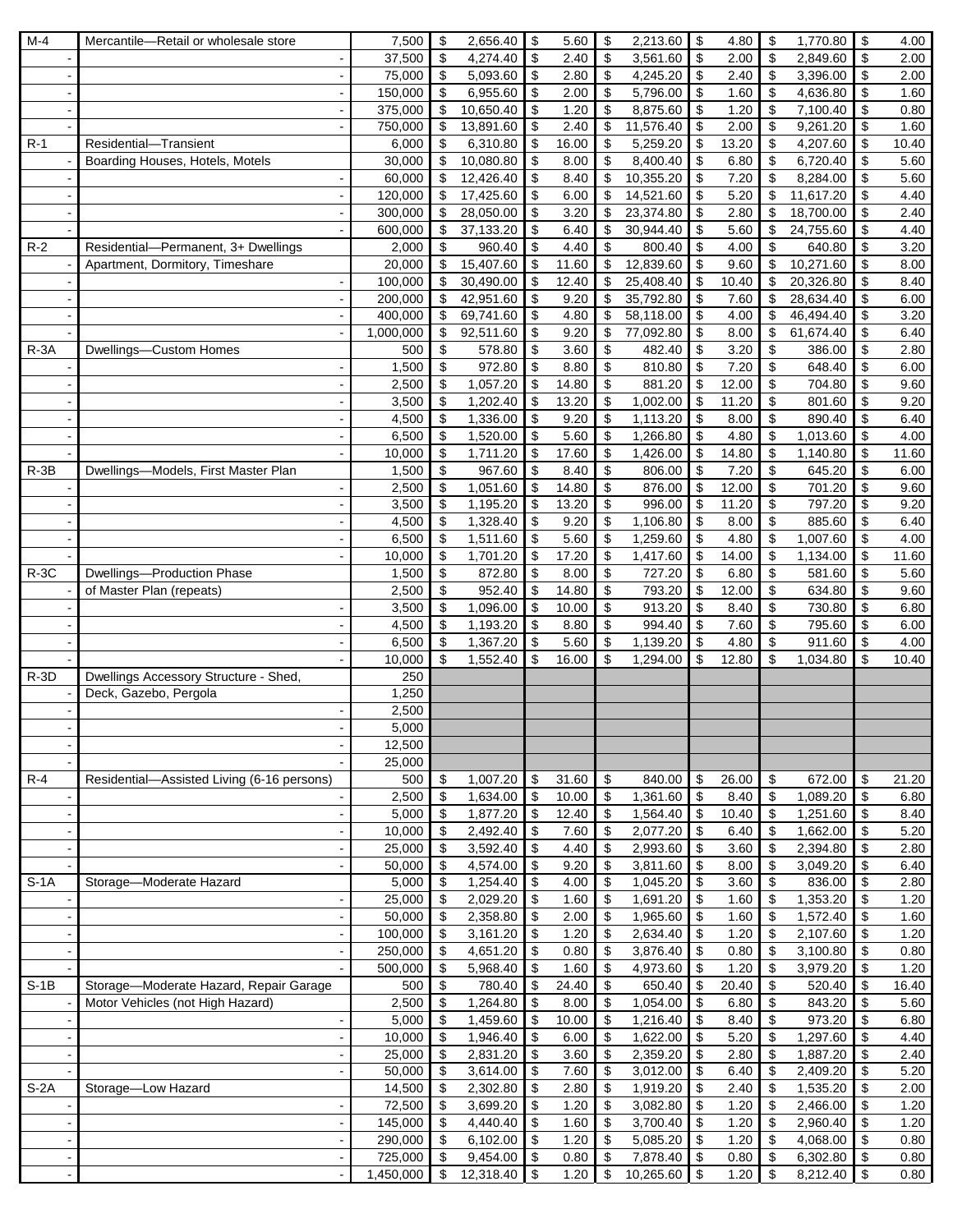| $M-4$    | Mercantile-Retail or wholesale store                   | 7,500            | \$                                                     | 2,656.40               | \$                         | 5.60          | \$                        | 2,213.60                  | \$                                     | 4.80          | \$                               | 1,770.80            | \$                        | 4.00         |
|----------|--------------------------------------------------------|------------------|--------------------------------------------------------|------------------------|----------------------------|---------------|---------------------------|---------------------------|----------------------------------------|---------------|----------------------------------|---------------------|---------------------------|--------------|
|          |                                                        | 37,500           | \$                                                     | 4,274.40               | \$                         | 2.40          | \$                        | 3,561.60                  | \$                                     | 2.00          | \$                               | 2,849.60            | \$                        | 2.00         |
|          |                                                        | 75,000           | \$                                                     | 5,093.60               | \$                         | 2.80          | $\sqrt[6]{\frac{1}{2}}$   | 4,245.20                  | $\bullet$                              | 2.40          | \$                               | 3,396.00            | \$                        | 2.00         |
|          | $\blacksquare$                                         | 150,000          | \$                                                     | 6,955.60               | \$                         | 2.00          | \$                        | 5,796.00                  | \$                                     | 1.60          | \$                               | 4,636.80            | \$                        | 1.60         |
|          |                                                        | 375,000          | \$                                                     | 10,650.40              | \$                         | 1.20          | \$                        | 8,875.60                  | \$                                     | 1.20          | \$                               | 7,100.40            | \$                        | 0.80         |
|          |                                                        | 750,000          | \$                                                     | 13,891.60              | \$                         | 2.40          | \$                        | 11,576.40                 | \$                                     | 2.00          | \$                               | 9,261.20            | \$                        | 1.60         |
| $R-1$    | Residential-Transient                                  | 6,000            | \$                                                     | 6,310.80               | \$                         | 16.00         | \$                        | 5,259.20                  | \$                                     | 13.20         | \$                               | 4,207.60            | \$                        | 10.40        |
|          | Boarding Houses, Hotels, Motels                        | 30,000           | \$                                                     | 10,080.80              | \$                         | 8.00          | \$                        | 8,400.40                  | $\boldsymbol{\mathsf{S}}$              | 6.80          | \$                               | 6,720.40            | \$                        | 5.60         |
|          |                                                        | 60,000           | \$                                                     | 12,426.40              | \$                         | 8.40          | \$                        | 10,355.20                 | $\sqrt[6]{3}$                          | 7.20          | \$                               | 8,284.00            | \$                        | 5.60         |
|          | $\mathbf{r}$                                           | 120,000          | \$                                                     | 17,425.60              | \$                         | 6.00          | \$                        | 14,521.60                 | \$                                     | 5.20          | \$                               | 11,617.20           | \$                        | 4.40         |
|          |                                                        | 300,000          | \$<br>\$                                               | 28,050.00<br>37,133.20 | \$<br>\$                   | 3.20          | \$                        | 23,374.80<br>30,944.40    | \$                                     | 2.80          | \$                               | 18,700.00           | \$<br>\$                  | 2.40         |
| $R-2$    | Residential-Permanent, 3+ Dwellings                    | 600,000<br>2,000 | \$                                                     | 960.40                 | \$                         | 6.40<br>4.40  | \$<br>\$                  | 800.40                    | \$<br>\$                               | 5.60<br>4.00  | \$<br>\$                         | 24,755.60<br>640.80 | \$                        | 4.40<br>3.20 |
|          | Apartment, Dormitory, Timeshare                        | 20,000           | \$                                                     | 15,407.60              | \$                         | 11.60         | \$                        | 12,839.60                 | \$                                     | 9.60          | \$                               | 10,271.60           | \$                        | 8.00         |
|          |                                                        | 100,000          | \$                                                     | 30,490.00              | \$                         | 12.40         | \$                        | 25,408.40                 | \$                                     | 10.40         | \$                               | 20,326.80           | \$                        | 8.40         |
|          |                                                        | 200,000          | \$                                                     | 42,951.60              | \$                         | 9.20          | \$                        | 35,792.80                 | \$                                     | 7.60          | \$                               | 28,634.40           | \$                        | 6.00         |
|          | $\blacksquare$                                         | 400,000          | \$                                                     | 69,741.60              | \$                         | 4.80          | \$                        | 58,118.00                 | $\overline{\mathbf{3}}$                | 4.00          | \$                               | 46,494.40           | \$                        | 3.20         |
|          |                                                        | 1,000,000        | \$                                                     | 92,511.60              | \$                         | 9.20          | \$                        | 77,092.80                 | \$                                     | 8.00          | \$                               | 61,674.40           | \$                        | 6.40         |
| $R - 3A$ | Dwellings-Custom Homes                                 | 500              | \$                                                     | 578.80                 | \$                         | 3.60          | \$                        | 482.40                    | \$                                     | 3.20          | $\boldsymbol{\mathsf{S}}$        | 386.00              | \$                        | 2.80         |
|          |                                                        | 1,500            | \$                                                     | 972.80                 | \$                         | 8.80          | $\overline{\mathcal{S}}$  | 810.80                    | $\overline{\mathbf{3}}$                | 7.20          | $\overline{\boldsymbol{\theta}}$ | 648.40              | \$                        | 6.00         |
|          |                                                        | 2,500            | \$                                                     | 1,057.20               | \$                         | 14.80         | \$                        | 881.20                    | \$                                     | 12.00         | \$                               | 704.80              | \$                        | 9.60         |
|          | $\overline{\phantom{a}}$                               | 3,500            | $\boldsymbol{\mathsf{S}}$                              | 1,202.40               | \$                         | 13.20         | \$                        | 1,002.00                  | \$                                     | 11.20         | \$                               | 801.60              | \$                        | 9.20         |
|          | $\sim$                                                 | 4,500            | \$                                                     | 1,336.00               | \$                         | 9.20          | $\,$                      | 1,113.20                  | \$                                     | 8.00          | \$                               | 890.40              | \$                        | 6.40         |
|          |                                                        | 6,500            | \$                                                     | 1,520.00               | \$                         | 5.60          | \$                        | 1,266.80                  | \$                                     | 4.80          | \$                               | 1,013.60            | \$                        | 4.00         |
|          |                                                        | 10,000           | \$                                                     | 1,711.20               | \$                         | 17.60         | \$                        | 1,426.00                  | \$                                     | 14.80         | $\boldsymbol{\mathsf{S}}$        | 1,140.80            | \$                        | 11.60        |
| $R - 3B$ | Dwellings-Models, First Master Plan                    | 1,500            | $\boldsymbol{\mathsf{S}}$                              | 967.60                 | \$                         | 8.40          | \$                        | 806.00                    | $\overline{\mathbf{s}}$                | 7.20          | $\overline{\mathbf{3}}$          | 645.20              | \$                        | 6.00         |
|          |                                                        | 2,500            | \$                                                     | 1,051.60               | \$                         | 14.80         | \$                        | 876.00                    | $\sqrt{3}$                             | 12.00         | $\sqrt[6]{\frac{1}{2}}$          | 701.20              | \$                        | 9.60         |
|          |                                                        | 3,500            | $\boldsymbol{\mathsf{S}}$                              | 1,195.20               | \$                         | 13.20         | \$                        | 996.00                    | $\frac{1}{2}$                          | 11.20         | $\overline{\mathbf{3}}$          | 797.20              | \$                        | 9.20         |
|          | $\sim$                                                 | 4,500            | \$                                                     | 1,328.40               | \$                         | 9.20          | \$                        | 1,106.80                  | \$                                     | 8.00          | \$                               | 885.60              | \$                        | 6.40         |
|          |                                                        | 6,500            | \$                                                     | 1,511.60               | \$                         | 5.60          | \$                        | 1,259.60                  | \$                                     | 4.80          | \$                               | 1,007.60            | \$                        | 4.00         |
|          |                                                        | 10,000           | \$                                                     | 1,701.20               | \$                         | 17.20         | \$                        | 1,417.60                  | $\bullet$<br>$\boldsymbol{\mathsf{S}}$ | 14.00         | $\boldsymbol{\mathsf{S}}$        | 1,134.00            | \$                        | 11.60        |
| $R-3C$   | Dwellings-Production Phase<br>of Master Plan (repeats) | 1,500<br>2,500   | $\boldsymbol{\mathsf{S}}$<br>\$                        | 872.80<br>952.40       | \$<br>\$                   | 8.00<br>14.80 | \$<br>\$                  | 727.20<br>793.20          | $\boldsymbol{\mathsf{S}}$              | 6.80<br>12.00 | \$<br>\$                         | 581.60<br>634.80    | \$<br>\$                  | 5.60<br>9.60 |
|          |                                                        | 3,500            | $\boldsymbol{\mathsf{S}}$                              | 1,096.00               | $\boldsymbol{\mathsf{S}}$  | 10.00         | \$                        | 913.20                    | $\sqrt{3}$                             | 8.40          | $\boldsymbol{\mathsf{S}}$        | 730.80              | \$                        | 6.80         |
|          | $\sim$                                                 | 4,500            | $\boldsymbol{\mathsf{S}}$                              | 1,193.20               | \$                         | 8.80          | \$                        | 994.40                    | \$                                     | 7.60          | \$                               | 795.60              | \$                        | 6.00         |
|          |                                                        | 6,500            | \$                                                     | 1,367.20               | \$                         | 5.60          | \$                        | 1,139.20                  | \$                                     | 4.80          | \$                               | 911.60              | \$                        | 4.00         |
|          |                                                        | 10,000           | \$                                                     | $\overline{1,}552.40$  | \$                         | 16.00         | \$                        | 1,294.00                  | \$                                     | 12.80         | \$                               | 1,034.80            | \$                        | 10.40        |
| $R-3D$   | Dwellings Accessory Structure - Shed,                  | 250              |                                                        |                        |                            |               |                           |                           |                                        |               |                                  |                     |                           |              |
|          | Deck, Gazebo, Pergola                                  | 1,250            |                                                        |                        |                            |               |                           |                           |                                        |               |                                  |                     |                           |              |
|          |                                                        | 2,500            |                                                        |                        |                            |               |                           |                           |                                        |               |                                  |                     |                           |              |
|          |                                                        | 5,000            |                                                        |                        |                            |               |                           |                           |                                        |               |                                  |                     |                           |              |
|          |                                                        | 12,500           |                                                        |                        |                            |               |                           |                           |                                        |               |                                  |                     |                           |              |
|          |                                                        | 25,000           |                                                        |                        |                            |               |                           |                           |                                        |               |                                  |                     |                           |              |
| $R-4$    | Residential-Assisted Living (6-16 persons)             | 500              | $\boldsymbol{\mathsf{S}}$                              | 1,007.20               | $\boldsymbol{\mathsf{S}}$  | 31.60         | $\boldsymbol{\mathsf{S}}$ | 840.00                    | $\sqrt{3}$                             | 26.00         | \$                               | 672.00              | \$                        | 21.20        |
|          |                                                        | 2,500            | $\boldsymbol{\mathsf{S}}$                              | 1,634.00               | $\overline{\$}$            | 10.00         | \$                        | 1,361.60                  | $\overline{\mathbf{3}}$                | 8.40          | $\boldsymbol{\mathsf{S}}$        | 1,089.20            | \$                        | 6.80         |
|          |                                                        | 5,000            | \$                                                     | 1,877.20               | $\bigoplus$                | 12.40         | \$                        | 1,564.40                  | l \$                                   | 10.40         | $\sqrt[6]{3}$                    | 1,251.60            | \$                        | 8.40         |
|          | $\blacksquare$                                         | 10,000           | $\sqrt[6]{3}$                                          | 2,492.40               | \$                         | 7.60          | \$                        | 2,077.20                  | $\bullet$                              | 6.40          | $\overline{\mathbf{3}}$          | 1,662.00            | \$                        | 5.20         |
|          | $\sim$                                                 | 25,000           | $\sqrt[6]{3}$                                          | 3,592.40               | $\boldsymbol{\mathsf{S}}$  | 4.40          | $\,$                      | 2,993.60                  | $\bullet$                              | 3.60          | $\boldsymbol{\mathsf{s}}$        | 2,394.80            | \$                        | 2.80         |
|          | $\blacksquare$                                         | 50,000           | \$                                                     | 4,574.00               | \$                         | 9.20          | \$                        | 3,811.60                  | $\sqrt{ }$                             | 8.00          | \$                               | 3,049.20            | \$                        | 6.40         |
| $S-1A$   | Storage-Moderate Hazard                                | 5,000            | $\boldsymbol{\mathsf{S}}$<br>$\boldsymbol{\mathsf{S}}$ | 1,254.40<br>2,029.20   | $\sqrt{3}$<br>\$           | 4.00          | \$                        | $1,045.20$ \$<br>1,691.20 | $\sqrt{3}$                             | 3.60          | \$                               | 836.00<br>1,353.20  | \$<br>\$                  | 2.80<br>1.20 |
|          |                                                        | 25,000<br>50,000 | $\boldsymbol{\mathsf{S}}$                              | 2,358.80               | \$                         | 1.60<br>2.00  | \$<br>\$                  | 1,965.60 \$               |                                        | 1.60<br>1.60  | \$<br>$\boldsymbol{\mathsf{s}}$  | 1,572.40            | \$                        | 1.60         |
|          |                                                        | 100,000          | $\boldsymbol{\mathsf{S}}$                              | 3,161.20               | \$                         | 1.20          | $\overline{\mathbf{3}}$   | 2,634.40                  | $\sqrt{ }$                             | 1.20          | \$                               | 2,107.60            | \$                        | 1.20         |
|          | $\blacksquare$                                         | 250,000          | $\boldsymbol{\mathsf{S}}$                              | 4,651.20               | $\boldsymbol{\mathsf{S}}$  | 0.80          | \$                        | 3,876.40                  | l \$                                   | 0.80          | \$                               | 3,100.80            | \$                        | 0.80         |
|          |                                                        | 500,000          | $\sqrt[6]{\frac{1}{2}}$                                | 5,968.40               | \$                         | 1.60          | $\,$                      | 4,973.60 \$               |                                        | 1.20          | $\boldsymbol{\mathsf{S}}$        | 3,979.20            | \$                        | 1.20         |
| $S-1B$   | Storage-Moderate Hazard, Repair Garage                 | 500              | $\boldsymbol{\mathsf{S}}$                              | 780.40                 | $\sqrt{3}$                 | 24.40         | $\boldsymbol{\mathsf{S}}$ | 650.40 \$                 |                                        | 20.40         | $\sqrt[6]{3}$                    | 520.40              | \$                        | 16.40        |
|          | Motor Vehicles (not High Hazard)                       | 2,500            | $\sqrt[6]{3}$                                          | 1,264.80               | \$                         | 8.00          | $\boldsymbol{\mathsf{S}}$ | 1,054.00                  | l \$                                   | 6.80          | $\sqrt[6]{\frac{1}{2}}$          | 843.20              | \$                        | 5.60         |
|          |                                                        | 5,000            | $\boldsymbol{\mathsf{S}}$                              | 1,459.60               | \$                         | 10.00         | \$                        | 1,216.40                  | l \$                                   | 8.40          | $\boldsymbol{\mathsf{S}}$        | 973.20              | \$                        | 6.80         |
|          |                                                        | 10,000           | $\sqrt[6]{3}$                                          | 1,946.40               | \$                         | 6.00          | $\boldsymbol{\mathsf{S}}$ | 1,622.00                  | l \$                                   | 5.20          | $\sqrt[6]{3}$                    | 1,297.60            | \$                        | 4.40         |
|          | $\overline{\phantom{a}}$                               | 25,000           | $\sqrt[6]{3}$                                          | 2,831.20               | \$                         | 3.60          | $\sqrt[6]{\frac{1}{2}}$   | 2,359.20                  | $\sqrt{3}$                             | 2.80          | \$                               | 1,887.20            | \$                        | 2.40         |
|          |                                                        | 50,000           | \$                                                     | 3,614.00               | \$                         | 7.60          | \$                        | $3,012.00$ \$             |                                        | 6.40          | \$                               | 2,409.20            | \$                        | 5.20         |
| $S-2A$   | Storage-Low Hazard                                     | 14,500           | \$                                                     | 2,302.80               | \$                         | 2.80          | \$                        | 1,919.20                  | l \$                                   | 2.40          | \$                               | 1,535.20            | \$                        | 2.00         |
|          | $\overline{\phantom{a}}$                               | 72,500           | \$                                                     | 3,699.20               | \$                         | 1.20          | \$                        | $3,082.80$ \$             |                                        | 1.20          | \$                               | 2,466.00            | \$                        | 1.20         |
|          |                                                        | 145,000          | \$                                                     | 4,440.40               | \$                         | 1.60          | \$                        | 3,700.40                  | $\sqrt{3}$                             | 1.20          | \$                               | 2,960.40            | \$                        | 1.20         |
|          |                                                        | 290,000          | $\sqrt[6]{3}$                                          | 6,102.00               | $\sqrt{3}$                 | 1.20          | $\overline{\mathbf{3}}$   | 5,085.20                  | l \$                                   | 1.20          | \$                               | 4,068.00            | \$                        | 0.80         |
|          |                                                        | 725,000          | $\sqrt[6]{3}$                                          | 9,454.00               | $\sqrt[6]{3}$              | 0.80          | $$\mathfrak{s}$$          | 7,878.40 \$               |                                        | 0.80          | $\sqrt[6]{3}$                    | 6,302.80            | \$                        | 0.80         |
|          | $\blacksquare$                                         | 1,450,000        | $\overline{\mathbf{3}}$                                | 12,318.40              | $\boldsymbol{\mathsf{\$}}$ | 1.20          | $\overline{\$}$           | $10,265.60$ \$            |                                        | 1.20          | $\overline{\mathbf{3}}$          | 8,212.40            | $\boldsymbol{\mathsf{S}}$ | 0.80         |